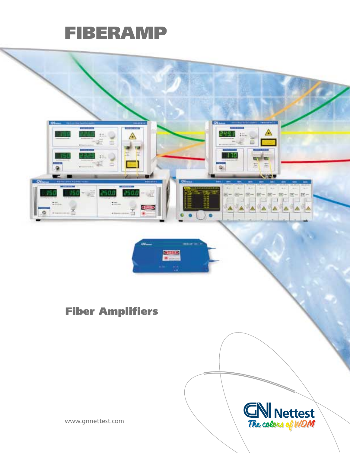# **FIBERAMP**

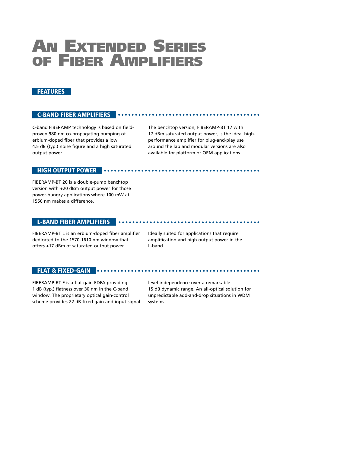## **AN EXTENDED SERIES OF FIBER AMPLIFIERS**

#### **FEATURES**

#### **C-BAND FIBER AMPLIFIERS**

C-band FIBERAMP technology is based on fieldproven 980 nm co-propagating pumping of erbium-doped fiber that provides a low 4.5 dB (typ.) noise figure and a high saturated output power.

The benchtop version, FIBERAMP-BT 17 with 17 dBm saturated output power, is the ideal highperformance amplifier for plug-and-play use around the lab and modular versions are also available for platform or OEM applications.

#### **HIGH OUTPUT POWER**

FIBERAMP-BT 20 is a double-pump benchtop version with +20 dBm output power for those power-hungry applications where 100 mW at 1550 nm makes a difference.

#### **L-BAND FIBER AMPLIFIERS**

FIBERAMP-BT L is an erbium-doped fiber amplifier dedicated to the 1570-1610 nm window that offers +17 dBm of saturated output power.

Ideally suited for applications that require amplification and high output power in the L-band.

#### **FLAT & FIXED-GAIN**

FIBERAMP-BT F is a flat gain EDFA providing 1 dB (typ.) flatness over 30 nm in the C-band window. The proprietary optical gain-control scheme provides 22 dB fixed gain and input-signal level independence over a remarkable 15 dB dynamic range. An all-optical solution for unpredictable add-and-drop situations in WDM systems.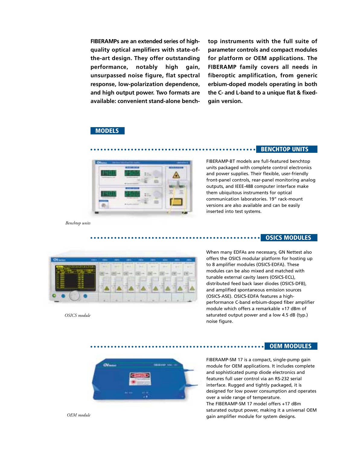**FIBERAMPs are an extended series of highquality optical amplifiers with state-ofthe-art design. They offer outstanding performance, notably high gain, unsurpassed noise figure, flat spectral response, low-polarization dependence, and high output power. Two formats are available: convenient stand-alone bench-** **top instruments with the full suite of parameter controls and compact modules for platform or OEM applications. The FIBERAMP family covers all needs in fiberoptic amplification, from generic erbium-doped models operating in both the C- and L-band to a unique flat & fixedgain version.**

#### **MODELS**



**BENCHTOP UNITS**

**OSICS MODULES**

FIBERAMP-BT models are full-featured benchtop units packaged with complete control electronics and power supplies. Their flexible, user-friendly front-panel controls, rear-panel monitoring analog outputs, and IEEE-488 computer interface make them ubiquitous instruments for optical communication laboratories. 19" rack-mount versions are also available and can be easily inserted into test systems.

*Benchtop units*



*OSICS module*

When many EDFAs are necessary, GN Nettest also offers the OSICS modular platform for hosting up to 8 amplifier modules (OSICS-EDFA). These modules can be also mixed and matched with tunable external cavity lasers (OSICS-ECL), distributed feed back laser diodes (OSICS-DFB), and amplified spontaneous emission sources (OSICS-ASE). OSICS-EDFA features a highperformance C-band erbium-doped fiber amplifier module which offers a remarkable +17 dBm of saturated output power and a low 4.5 dB (typ.) noise figure.

**OEM MODULES**



FIBERAMP-SM 17 is a compact, single-pump gain module for OEM applications. It includes complete and sophisticated pump diode electronics and features full user control via an RS-232 serial interface. Rugged and tightly packaged, it is designed for low power consumption and operates over a wide range of temperature. The FIBERAMP-SM 17 model offers +17 dBm saturated output power, making it a universal OEM gain amplifier module for system designs.

*OEM module*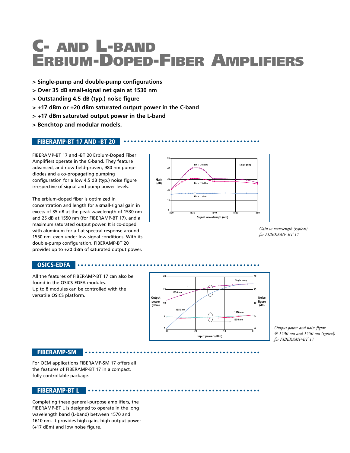# **C- AND L-BAND ERBIUM-DOPED-FIBER AMPLIFIERS**

- **> Single-pump and double-pump configurations**
- **> Over 35 dB small-signal net gain at 1530 nm**
- **> Outstanding 4.5 dB (typ.) noise figure**
- **> +17 dBm or +20 dBm saturated output power in the C-band**
- **> +17 dBm saturated output power in the L-band**
- **> Benchtop and modular models.**

#### **FIBERAMP-BT 17 AND -BT 20**

FIBERAMP-BT 17 and -BT 20 Erbium-Doped Fiber Amplifiers operate in the C-band. They feature advanced, and now field-proven, 980 nm pumpdiodes and a co-propagating pumping configuration for a low 4.5 dB (typ.) noise figure irrespective of signal and pump power levels.

The erbium-doped fiber is optimized in concentration and length for a small-signal gain in excess of 35 dB at the peak wavelength of 1530 nm and 25 dB at 1550 nm (for FIBERAMP-BT 17), and a maximum saturated output power. It is co-doped with aluminum for a flat spectral response around 1550 nm, even under low-signal conditions. With its double-pump configuration, FIBERAMP-BT 20 provides up to +20 dBm of saturated output power.

. . . . . . . . . . . .



*Gain vs wavelength (typical) for FIBERAMP-BT 17*

#### **OSICS-EDFA**

All the features of FIBERAMP-BT 17 can also be found in the OSICS-EDFA modules. Up to 8 modules can be controlled with the versatile OSICS platform.



*Output power and noise figure @ 1530 nm and 1550 nm (typical) for FIBERAMP-BT 17*

#### **FIBERAMP-SM**

For OEM applications FIBERAMP-SM 17 offers all the features of FIBERAMP-BT 17 in a compact, fully-controllable package.

#### **FIBERAMP-BT L**

Completing these general-purpose amplifiers, the FIBERAMP-BT L is designed to operate in the long wavelength band (L-band) between 1570 and 1610 nm. It provides high gain, high output power (+17 dBm) and low noise figure.

. . . . . . . . . . .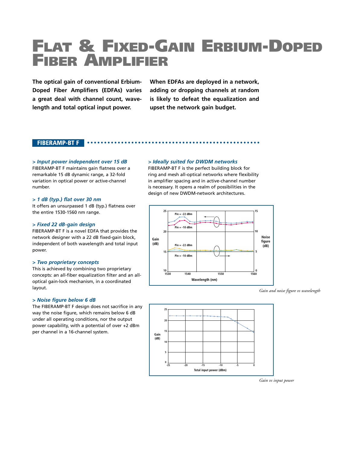# **FLAT & FIXED-GAIN ERBIUM-DOPED FIBER AMPLIFIER**

**The optical gain of conventional Erbium-Doped Fiber Amplifiers (EDFAs) varies a great deal with channel count, wavelength and total optical input power.**

**When EDFAs are deployed in a network, adding or dropping channels at random is likely to defeat the equalization and upset the network gain budget.**

#### **FIBERAMP-BT F**

#### *> Input power independent over 15 dB*

FIBERAMP-BT F maintains gain flatness over a remarkable 15 dB dynamic range, a 32-fold variation in optical power or active-channel number.

#### *> 1 dB (typ.) flat over 30 nm*

It offers an unsurpassed 1 dB (typ.) flatness over the entire 1530-1560 nm range.

#### *> Fixed 22 dB-gain design*

FIBERAMP-BT F is a novel EDFA that provides the network designer with a 22 dB fixed-gain block, independent of both wavelength and total input power.

#### *> Two proprietary concepts*

This is achieved by combining two proprietary concepts: an all-fiber equalization filter and an alloptical gain-lock mechanism, in a coordinated layout.

#### *> Noise figure below 6 dB*

The FIBERAMP-BT F design does not sacrifice in any way the noise figure, which remains below 6 dB under all operating conditions, nor the output power capability, with a potential of over +2 dBm per channel in a 16-channel system.

#### *> Ideally suited for DWDM networks*

FIBERAMP-BT F is the perfect building block for ring and mesh all-optical networks where flexibility in amplifier spacing and in active-channel number is necessary. It opens a realm of possibilities in the design of new DWDM-network architectures.



*Gain and noise figure vs wavelength*



*Gain vs input power*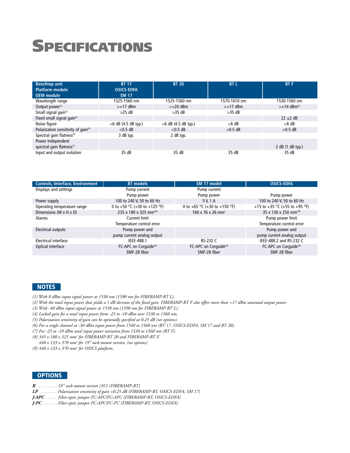# **SPECIFICATIONS**

| <b>Benchtop unit</b><br><b>Platform module</b>  | <b>BT 17</b><br><b>OSICS-EDFA</b> | <b>BT 20</b>           | <b>BTL</b>   | <b>BTF</b>                |
|-------------------------------------------------|-----------------------------------|------------------------|--------------|---------------------------|
| <b>OEM</b> module                               | <b>SM 17</b>                      |                        |              |                           |
| Wavelength range                                | 1525-1560 nm                      | 1525-1560 nm           | 1570-1610 nm | 1530-1560 nm              |
| Output power <sup>(1)</sup>                     | $>+17$ dBm                        | $>+20$ dBm             | $>+17$ dBm   | $>>14$ dBm <sup>(2)</sup> |
| Small signal gain <sup>(3)</sup>                | $>25$ dB                          | $>35$ dB               | $>35$ dB     |                           |
| Fixed small signal gain <sup>(4)</sup>          |                                   |                        |              | $22 \pm 2$ dB             |
| Noise figure                                    | $<$ 6 dB (4.5 dB typ.)            | $<$ 6 dB (4.5 dB typ.) | $<$ 6 dB     | $<$ 6 dB                  |
| Polarization sensitivity of gain <sup>(5)</sup> | $< 0.5$ dB                        | $< 0.5$ dB             | $<$ 0.5 dB   | $<$ 0.5 dB                |
| Spectral gain flatness <sup>(6)</sup>           | 3 dB typ.                         | 2 dB typ.              |              |                           |
| Power Independent                               |                                   |                        |              |                           |
| spectral gain flatness <sup>(7)</sup>           |                                   |                        |              | 2 dB (1 dB typ.)          |
| Input and output isolation                      | 35 dB                             | 35 dB                  | 35 dB        | 35 dB                     |

| <b>Controls, Interface, Environment</b> | <b>BT</b> models                   | SM 17 model                   | <b>OSICS-EDFA</b>                 |
|-----------------------------------------|------------------------------------|-------------------------------|-----------------------------------|
| Displays and settings                   | Pump current                       | Pump current                  |                                   |
|                                         | Pump power                         | Pump power                    | Pump power                        |
| Power supply                            | 100 to 240 V, 50 to 60 Hz          | 5 V, 1 A                      | 100 to 240 V, 50 to 60 Hz         |
| Operating temperature range             | 0 to +50 °C (+30 to +125 °F)       | 0 to +65 °C (+30 to +150 °F)  | +15 to +35 °C (+55 to +95 °F)     |
| Dimensions (W x H x D)                  | 235 x 180 x 325 mm <sup>3(8)</sup> | 160 x 76 x 26 mm <sup>3</sup> | 35 x 130 x 250 mm <sup>3(9)</sup> |
| Alarms                                  | Current limit                      |                               | Pump power limit                  |
|                                         | Temperature control error          |                               | Temperature control error         |
| Electrical outputs                      | Pump power and                     |                               | Pump power and                    |
|                                         | pump current analog output         |                               | pump current analog output        |
| Electrical interface                    | IEEE-488.1                         | RS-232 C                      | IEEE-488.2 and RS-232 C           |
| Optical interface                       | FC-APC on Corquide™                | FC-APC on Corquide™           | FC-APC on Corquide™               |
|                                         | SMF-28 fiber                       | SMF-28 fiber                  | SMF-28 fiber                      |

#### **NOTES**

- *(1) With 0 dBm input signal power at 1550 nm (1590 nm for FIBERAMP-BT L).*
- *(2) With the total input power that yields a 1 dB decrease of the fixed gain. FIBERAMP-BT F also offers more than +17 dBm saturated output power.*
- *(3) With -40 dBm input signal power at 1550 nm (1590 nm for FIBERAMP-BT L).*
- *(4) Locked gain for a total input power from -25 to -10 dBm over 1530 to 1560 nm.*
- *(5) Polarization sensitivity of gain can be optionally specified at 0.25 dB (see options).*
- *(6) For a single channel at -30 dBm input power from 1540 to 1560 nm (BT 17, OSICS-EDFA, SM 17 and BT 20).*
- *(7) For -25 to -10 dBm total input power variation from 1530 to 1560 nm (BT F).*
- *(8) 345 x 180 x 325 mm3 for FIBERAMP-BT 20 and FIBERAMP-BT F.*
- *448 x 133 x 370 mm3 for 19" rack-mount version. (see options)*
- *(9) 448 x 133 x 370 mm3 for OSICS platform.*

#### **OPTIONS**

- *R . . . . . . . . 19" rack-mount version (3U) (FIBERAMP-BT)*
- *LP . . . . . . . Polarization sensitivity of gain <0.25 dB (FIBERAMP-BT, OSICS-EDFA, SM 17)*
- *J-APC . . . . . Fiber-optic jumper FC-APC/FC-APC (FIBERAMP-BT, OSICS-EDFA)*
- *J-PC . . . . . . Fiber-optic jumper FC-APC/FC-PC (FIBERAMP-BT, OSICS-EDFA)*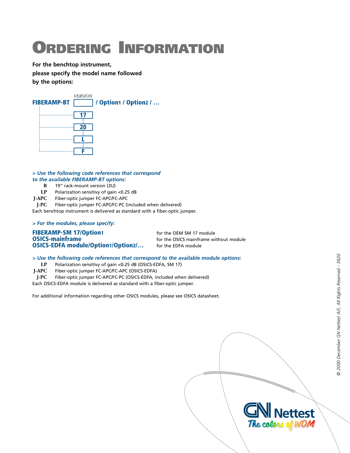# **ORDERING INFORMATION**

**For the benchtop instrument, please specify the model name followed by the options:**



#### *> Use the following code references that correspond to the available FIBERAMP-BT options:*

- **R** 19" rack-mount version (3U)
- LP Polarization sensitivy of gain <0.25 dB<br> **I-APC** Fiber-optic jumper FC-APC/FC-APC
	-

**J-APC** Fiber-optic jumper FC-APC/FC-APC Fiber-optic jumper FC-APC/FC-PC (included when delivered)

Each benchtop instrument is delivered as standard with a fiber-optic jumper.

#### *> For the modules, please specify:*

### **FIBERAMP-SM 17/Option1** for the OEM SM 17 module<br> **OSICS-mainframe**  $\frac{1}{2}$  for the OSICS mainframe with  $\frac{1}{2}$  for the OSICS mainframe with  $\frac{1}{2}$ **OSICS-EDFA module/Option1/Option2/...** for the EDFA module

for the OSICS mainframe without module

#### *> Use the following code references that correspond to the available module options:*

- **LP** Polarization sensitivy of gain <0.25 dB (OSICS-EDFA, SM 17)
- **J-APC** Fiber-optic jumper FC-APC/FC-APC (OSICS-EDFA)
- **J-PC** Fiber-optic jumper FC-APC/FC-PC (OSICS-EDFA, included when delivered)

Each OSICS-EDFA module is delivered as standard with a fiber-optic jumper.

For additional information regarding other OSICS modules, please see OSICS datasheet.